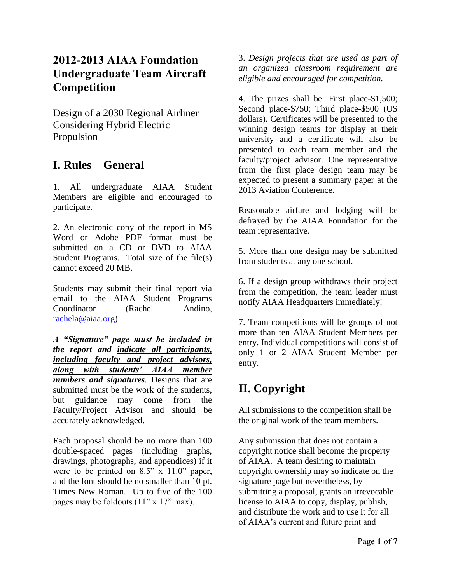## **2012-2013 AIAA Foundation Undergraduate Team Aircraft Competition**

Design of a 2030 Regional Airliner Considering Hybrid Electric Propulsion

## **I. Rules – General**

1. All undergraduate AIAA Student Members are eligible and encouraged to participate.

2. An electronic copy of the report in MS Word or Adobe PDF format must be submitted on a CD or DVD to AIAA Student Programs. Total size of the file(s) cannot exceed 20 MB.

Students may submit their final report via email to the AIAA Student Programs Coordinator (Rachel Andino, [rachela@aiaa.org\)](mailto:rachela@aiaa.org).

*A "Signature" page must be included in the report and indicate all participants, including faculty and project advisors, along with students' AIAA member numbers and signatures.* Designs that are submitted must be the work of the students, but guidance may come from the Faculty/Project Advisor and should be accurately acknowledged.

Each proposal should be no more than 100 double-spaced pages (including graphs, drawings, photographs, and appendices) if it were to be printed on 8.5" x 11.0" paper, and the font should be no smaller than 10 pt. Times New Roman. Up to five of the 100 pages may be foldouts (11" x 17" max).

3. *Design projects that are used as part of an organized classroom requirement are eligible and encouraged for competition.*

4. The prizes shall be: First place-\$1,500; Second place-\$750; Third place-\$500 (US dollars). Certificates will be presented to the winning design teams for display at their university and a certificate will also be presented to each team member and the faculty/project advisor. One representative from the first place design team may be expected to present a summary paper at the 2013 Aviation Conference.

Reasonable airfare and lodging will be defrayed by the AIAA Foundation for the team representative.

5. More than one design may be submitted from students at any one school.

6. If a design group withdraws their project from the competition, the team leader must notify AIAA Headquarters immediately!

7. Team competitions will be groups of not more than ten AIAA Student Members per entry. Individual competitions will consist of only 1 or 2 AIAA Student Member per entry.

# **II. Copyright**

All submissions to the competition shall be the original work of the team members.

Any submission that does not contain a copyright notice shall become the property of AIAA. A team desiring to maintain copyright ownership may so indicate on the signature page but nevertheless, by submitting a proposal, grants an irrevocable license to AIAA to copy, display, publish, and distribute the work and to use it for all of AIAA's current and future print and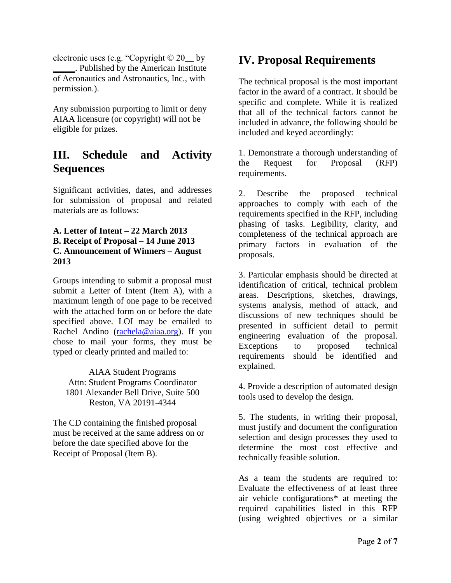electronic uses (e.g. "Copyright © 20\_\_ by \_\_\_\_\_. Published by the American Institute of Aeronautics and Astronautics, Inc., with permission.).

Any submission purporting to limit or deny AIAA licensure (or copyright) will not be eligible for prizes.

## **III. Schedule and Activity Sequences**

Significant activities, dates, and addresses for submission of proposal and related materials are as follows:

#### **A. Letter of Intent – 22 March 2013 B. Receipt of Proposal – 14 June 2013 C. Announcement of Winners – August 2013**

Groups intending to submit a proposal must submit a Letter of Intent (Item A), with a maximum length of one page to be received with the attached form on or before the date specified above. LOI may be emailed to Rachel Andino [\(rachela@aiaa.org\)](mailto:rachela@aiaa.org). If you chose to mail your forms, they must be typed or clearly printed and mailed to:

AIAA Student Programs Attn: Student Programs Coordinator 1801 Alexander Bell Drive, Suite 500 Reston, VA 20191-4344

The CD containing the finished proposal must be received at the same address on or before the date specified above for the Receipt of Proposal (Item B).

## **IV. Proposal Requirements**

The technical proposal is the most important factor in the award of a contract. It should be specific and complete. While it is realized that all of the technical factors cannot be included in advance, the following should be included and keyed accordingly:

1. Demonstrate a thorough understanding of the Request for Proposal (RFP) requirements.

2. Describe the proposed technical approaches to comply with each of the requirements specified in the RFP, including phasing of tasks. Legibility, clarity, and completeness of the technical approach are primary factors in evaluation of the proposals.

3. Particular emphasis should be directed at identification of critical, technical problem areas. Descriptions, sketches, drawings, systems analysis, method of attack, and discussions of new techniques should be presented in sufficient detail to permit engineering evaluation of the proposal. Exceptions to proposed technical requirements should be identified and explained.

4. Provide a description of automated design tools used to develop the design.

5. The students, in writing their proposal, must justify and document the configuration selection and design processes they used to determine the most cost effective and technically feasible solution.

As a team the students are required to: Evaluate the effectiveness of at least three air vehicle configurations\* at meeting the required capabilities listed in this RFP (using weighted objectives or a similar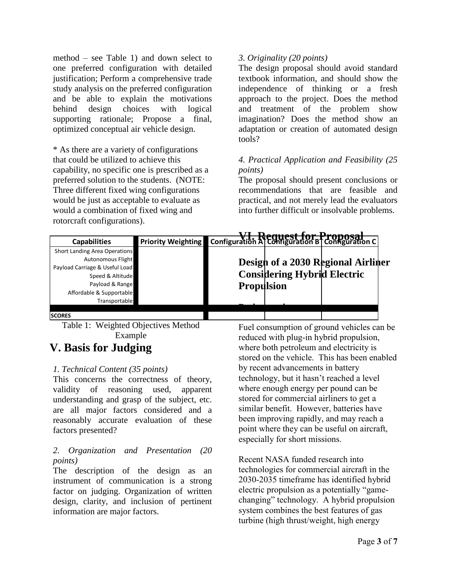method – see Table 1) and down select to one preferred configuration with detailed justification; Perform a comprehensive trade study analysis on the preferred configuration and be able to explain the motivations behind design choices with logical supporting rationale; Propose a final, optimized conceptual air vehicle design.

\* As there are a variety of configurations that could be utilized to achieve this capability, no specific one is prescribed as a preferred solution to the students. (NOTE: Three different fixed wing configurations would be just as acceptable to evaluate as would a combination of fixed wing and rotorcraft configurations).

### *3. Originality (20 points)*

The design proposal should avoid standard textbook information, and should show the independence of thinking or a fresh approach to the project. Does the method and treatment of the problem show imagination? Does the method show an adaptation or creation of automated design tools?

### *4. Practical Application and Feasibility (25 points)*

The proposal should present conclusions or recommendations that are feasible and practical, and not merely lead the evaluators into further difficult or insolvable problems.

| <b>Capabilities</b>                 | <b>Priority Weighting</b> |                   |                                    | <b>Configuration A Configuration B Configuration C</b> |
|-------------------------------------|---------------------------|-------------------|------------------------------------|--------------------------------------------------------|
| Short Landing Area Operations       |                           |                   |                                    |                                                        |
| <b>Autonomous Flight</b>            |                           |                   |                                    | Design of a 2030 Regional Airliner                     |
| Payload Carriage & Useful Load      |                           |                   |                                    |                                                        |
| Speed & Altitude                    |                           |                   | <b>Considering Hybrid Electric</b> |                                                        |
| Payload & Range                     |                           | <b>Propulsion</b> |                                    |                                                        |
| Affordable & Supportable            |                           |                   |                                    |                                                        |
| Transportable                       |                           |                   |                                    |                                                        |
|                                     |                           |                   |                                    |                                                        |
| <b>SCORES</b>                       |                           |                   |                                    |                                                        |
| Table 1: Weighted Objectives Method |                           |                   |                                    | Fuel consumption of ground vehicles can be             |

Example

## **V. Basis for Judging**

### *1. Technical Content (35 points)*

This concerns the correctness of theory, validity of reasoning used, apparent understanding and grasp of the subject, etc. are all major factors considered and a reasonably accurate evaluation of these factors presented?

## *2. Organization and Presentation (20 points)*

The description of the design as an instrument of communication is a strong factor on judging. Organization of written design, clarity, and inclusion of pertinent information are major factors.

Fuel consumption of ground vehicles can be reduced with plug-in hybrid propulsion, where both petroleum and electricity is stored on the vehicle. This has been enabled by recent advancements in battery technology, but it hasn't reached a level where enough energy per pound can be stored for commercial airliners to get a similar benefit. However, batteries have been improving rapidly, and may reach a point where they can be useful on aircraft, especially for short missions.

Recent NASA funded research into technologies for commercial aircraft in the 2030-2035 timeframe has identified hybrid electric propulsion as a potentially "gamechanging" technology. A hybrid propulsion system combines the best features of gas turbine (high thrust/weight, high energy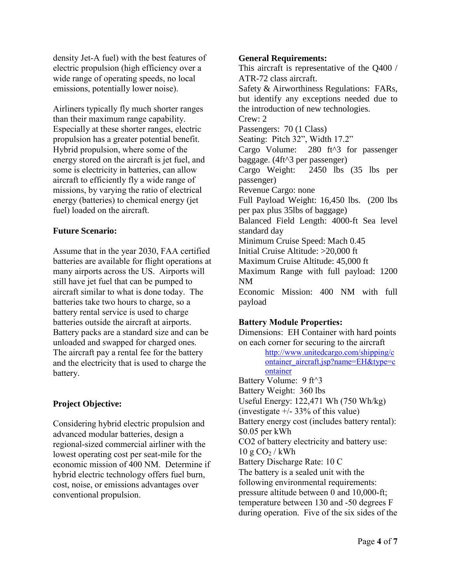density Jet-A fuel) with the best features of electric propulsion (high efficiency over a wide range of operating speeds, no local emissions, potentially lower noise).

Airliners typically fly much shorter ranges than their maximum range capability. Especially at these shorter ranges, electric propulsion has a greater potential benefit. Hybrid propulsion, where some of the energy stored on the aircraft is jet fuel, and some is electricity in batteries, can allow aircraft to efficiently fly a wide range of missions, by varying the ratio of electrical energy (batteries) to chemical energy (jet fuel) loaded on the aircraft.

#### **Future Scenario:**

Assume that in the year 2030, FAA certified batteries are available for flight operations at many airports across the US. Airports will still have jet fuel that can be pumped to aircraft similar to what is done today. The batteries take two hours to charge, so a battery rental service is used to charge batteries outside the aircraft at airports. Battery packs are a standard size and can be unloaded and swapped for charged ones. The aircraft pay a rental fee for the battery and the electricity that is used to charge the battery.

### **Project Objective:**

Considering hybrid electric propulsion and advanced modular batteries, design a regional-sized commercial airliner with the lowest operating cost per seat-mile for the economic mission of 400 NM. Determine if hybrid electric technology offers fuel burn, cost, noise, or emissions advantages over conventional propulsion.

#### **General Requirements:**

This aircraft is representative of the Q400 / ATR-72 class aircraft. Safety & Airworthiness Regulations: FARs, but identify any exceptions needed due to the introduction of new technologies. Crew: 2 Passengers: 70 (1 Class) Seating: Pitch 32", Width 17.2" Cargo Volume: 280 ft^3 for passenger baggage. (4ft^3 per passenger) Cargo Weight: 2450 lbs (35 lbs per passenger) Revenue Cargo: none Full Payload Weight: 16,450 lbs. (200 lbs per pax plus 35lbs of baggage) Balanced Field Length: 4000-ft Sea level standard day Minimum Cruise Speed: Mach 0.45 Initial Cruise Altitude: >20,000 ft Maximum Cruise Altitude: 45,000 ft Maximum Range with full payload: 1200 NM Economic Mission: 400 NM with full payload

### **Battery Module Properties:**

Dimensions: EH Container with hard points on each corner for securing to the aircraft

[http://www.unitedcargo.com/shipping/c](http://www.unitedcargo.com/shipping/container_aircraft.jsp?name=EH&type=container) [ontainer\\_aircraft.jsp?name=EH&type=c](http://www.unitedcargo.com/shipping/container_aircraft.jsp?name=EH&type=container) [ontainer](http://www.unitedcargo.com/shipping/container_aircraft.jsp?name=EH&type=container)

Battery Volume: 9 ft^3 Battery Weight: 360 lbs Useful Energy: 122,471 Wh (750 Wh/kg) (investigate  $+/- 33\%$  of this value) Battery energy cost (includes battery rental): \$0.05 per kWh CO2 of battery electricity and battery use:  $10 \text{ g } CO<sub>2</sub> / \text{kWh}$ Battery Discharge Rate: 10 C The battery is a sealed unit with the following environmental requirements: pressure altitude between 0 and 10,000-ft; temperature between 130 and -50 degrees F during operation. Five of the six sides of the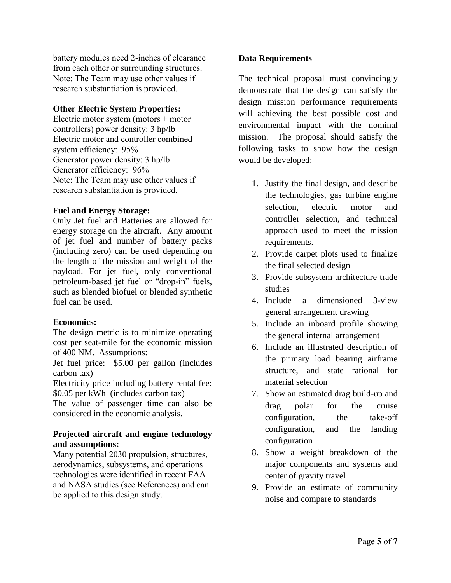battery modules need 2-inches of clearance from each other or surrounding structures. Note: The Team may use other values if research substantiation is provided.

#### **Other Electric System Properties:**

Electric motor system (motors + motor controllers) power density: 3 hp/lb Electric motor and controller combined system efficiency: 95% Generator power density: 3 hp/lb Generator efficiency: 96% Note: The Team may use other values if research substantiation is provided.

#### **Fuel and Energy Storage:**

Only Jet fuel and Batteries are allowed for energy storage on the aircraft. Any amount of jet fuel and number of battery packs (including zero) can be used depending on the length of the mission and weight of the payload. For jet fuel, only conventional petroleum-based jet fuel or "drop-in" fuels, such as blended biofuel or blended synthetic fuel can be used.

#### **Economics:**

The design metric is to minimize operating cost per seat-mile for the economic mission of 400 NM. Assumptions:

Jet fuel price: \$5.00 per gallon (includes carbon tax)

Electricity price including battery rental fee: \$0.05 per kWh (includes carbon tax)

The value of passenger time can also be considered in the economic analysis.

#### **Projected aircraft and engine technology and assumptions:**

Many potential 2030 propulsion, structures, aerodynamics, subsystems, and operations technologies were identified in recent FAA and NASA studies (see References) and can be applied to this design study.

#### **Data Requirements**

The technical proposal must convincingly demonstrate that the design can satisfy the design mission performance requirements will achieving the best possible cost and environmental impact with the nominal mission. The proposal should satisfy the following tasks to show how the design would be developed:

- 1. Justify the final design, and describe the technologies, gas turbine engine selection, electric motor and controller selection, and technical approach used to meet the mission requirements.
- 2. Provide carpet plots used to finalize the final selected design
- 3. Provide subsystem architecture trade studies
- 4. Include a dimensioned 3-view general arrangement drawing
- 5. Include an inboard profile showing the general internal arrangement
- 6. Include an illustrated description of the primary load bearing airframe structure, and state rational for material selection
- 7. Show an estimated drag build-up and drag polar for the cruise configuration, the take-off configuration, and the landing configuration
- 8. Show a weight breakdown of the major components and systems and center of gravity travel
- 9. Provide an estimate of community noise and compare to standards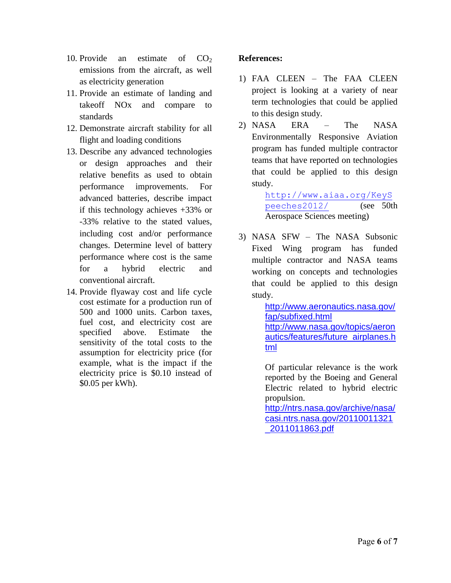- 10. Provide an estimate of  $CO<sub>2</sub>$ emissions from the aircraft, as well as electricity generation
- 11. Provide an estimate of landing and takeoff NOx and compare to standards
- 12. Demonstrate aircraft stability for all flight and loading conditions
- 13. Describe any advanced technologies or design approaches and their relative benefits as used to obtain performance improvements. For advanced batteries, describe impact if this technology achieves +33% or -33% relative to the stated values, including cost and/or performance changes. Determine level of battery performance where cost is the same for a hybrid electric and conventional aircraft.
- 14. Provide flyaway cost and life cycle cost estimate for a production run of 500 and 1000 units. Carbon taxes, fuel cost, and electricity cost are specified above. Estimate the sensitivity of the total costs to the assumption for electricity price (for example, what is the impact if the electricity price is \$0.10 instead of \$0.05 per kWh).

## **References:**

- 1) FAA CLEEN The FAA CLEEN project is looking at a variety of near term technologies that could be applied to this design study.
- 2) NASA ERA The NASA Environmentally Responsive Aviation program has funded multiple contractor teams that have reported on technologies that could be applied to this design study.

[http://www.aiaa.org/KeyS](http://www.aiaa.org/KeySpeeches2012/) [peeches2012/](http://www.aiaa.org/KeySpeeches2012/) (see 50th Aerospace Sciences meeting)

3) NASA SFW – The NASA Subsonic Fixed Wing program has funded multiple contractor and NASA teams working on concepts and technologies that could be applied to this design study.

> [http://www.aeronautics.nasa.gov/](http://www.aeronautics.nasa.gov/fap/subfixed.html) [fap/subfixed.html](http://www.aeronautics.nasa.gov/fap/subfixed.html) [http://www.nasa.gov/topics/aeron](http://www.nasa.gov/topics/aeronautics/features/future_airplanes.html) [autics/features/future\\_airplanes.h](http://www.nasa.gov/topics/aeronautics/features/future_airplanes.html) [tml](http://www.nasa.gov/topics/aeronautics/features/future_airplanes.html)

Of particular relevance is the work reported by the Boeing and General Electric related to hybrid electric propulsion.

[http://ntrs.nasa.gov/archive/nasa/](http://ntrs.nasa.gov/archive/nasa/casi.ntrs.nasa.gov/20110011321_2011011863.pdf) [casi.ntrs.nasa.gov/20110011321](http://ntrs.nasa.gov/archive/nasa/casi.ntrs.nasa.gov/20110011321_2011011863.pdf) [\\_2011011863.pdf](http://ntrs.nasa.gov/archive/nasa/casi.ntrs.nasa.gov/20110011321_2011011863.pdf)